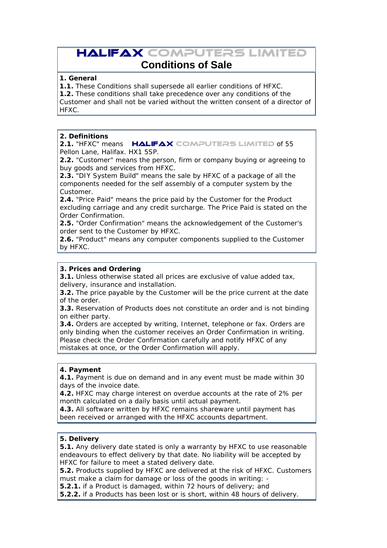# **HALIFAX COMPUTERS LIMITED**

# **Conditions of Sale**

# **1. General**

**1.1.** These Conditions shall supersede all earlier conditions of HFXC.

**1.2.** These conditions shall take precedence over any conditions of the

Customer and shall not be varied without the written consent of a director of HFXC.

#### **2. Definitions**

**2.1. "HFXC" means HALIFAX COMPUTERS LIMITED of 55** Pellon Lane, Halifax. HX1 5SP.

**2.2.** "Customer" means the person, firm or company buying or agreeing to buy goods and services from HFXC.

**2.3.** "DIY System Build" means the sale by HFXC of a package of all the components needed for the self assembly of a computer system by the Customer.

**2.4.** "Price Paid" means the price paid by the Customer for the Product excluding carriage and any credit surcharge. The Price Paid is stated on the Order Confirmation.

**2.5.** "Order Confirmation" means the acknowledgement of the Customer's order sent to the Customer by HFXC.

**2.6.** "Product" means any computer components supplied to the Customer by HFXC.

# **3. Prices and Ordering**

**3.1.** Unless otherwise stated all prices are exclusive of value added tax, delivery, insurance and installation.

**3.2.** The price payable by the Customer will be the price current at the date of the order.

**3.3.** Reservation of Products does not constitute an order and is not binding on either party.

**3.4.** Orders are accepted by writing, Internet, telephone or fax. Orders are only binding when the customer receives an Order Confirmation in writing. Please check the Order Confirmation carefully and notify HFXC of any mistakes at once, or the Order Confirmation will apply.

#### **4. Payment**

**4.1.** Payment is due on demand and in any event must be made within 30 days of the invoice date.

**4.2.** HFXC may charge interest on overdue accounts at the rate of 2% per month calculated on a daily basis until actual payment.

**4.3.** All software written by HFXC remains shareware until payment has been received or arranged with the HFXC accounts department.

# **5. Delivery**

**5.1.** Any delivery date stated is only a warranty by HFXC to use reasonable endeavours to effect delivery by that date. No liability will be accepted by HFXC for failure to meet a stated delivery date.

**5.2.** Products supplied by HFXC are delivered at the risk of HFXC. Customers must make a claim for damage or loss of the goods in writing: -

**5.2.1.** if a Product is damaged, within 72 hours of delivery; and

**5.2.2.** if a Products has been lost or is short, within 48 hours of delivery.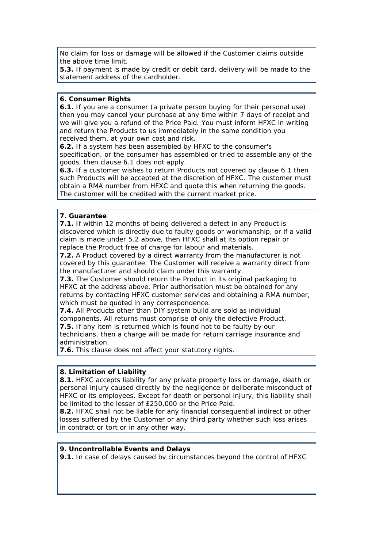No claim for loss or damage will be allowed if the Customer claims outside the above time limit.

**5.3.** If payment is made by credit or debit card, delivery will be made to the statement address of the cardholder.

#### **6. Consumer Rights**

**6.1.** If you are a consumer (a private person buying for their personal use) then you may cancel your purchase at any time within 7 days of receipt and we will give you a refund of the Price Paid. You must inform HFXC in writing and return the Products to us immediately in the same condition you received them, at your own cost and risk.

**6.2.** If a system has been assembled by HFXC to the consumer's

specification, or the consumer has assembled or tried to assemble any of the goods, then clause 6.1 does not apply.

**6.3.** If a customer wishes to return Products not covered by clause 6.1 then such Products will be accepted at the discretion of HFXC. The customer must obtain a RMA number from HFXC and quote this when returning the goods. The customer will be credited with the current market price.

# **7. Guarantee**

**7.1.** If within 12 months of being delivered a defect in any Product is discovered which is directly due to faulty goods or workmanship, or if a valid claim is made under 5.2 above, then HFXC shall at its option repair or replace the Product free of charge for labour and materials.

**7.2.** A Product covered by a direct warranty from the manufacturer is not covered by this guarantee. The Customer will receive a warranty direct from the manufacturer and should claim under this warranty.

**7.3.** The Customer should return the Product in its original packaging to HFXC at the address above. Prior authorisation must be obtained for any returns by contacting HFXC customer services and obtaining a RMA number, which must be quoted in any correspondence.

**7.4.** All Products other than DIY system build are sold as individual

components. All returns must comprise of only the defective Product.

**7.5.** If any item is returned which is found not to be faulty by our

technicians, then a charge will be made for return carriage insurance and administration.

**7.6.** This clause does not affect your statutory rights.

# **8. Limitation of Liability**

**8.1.** HFXC accepts liability for any private property loss or damage, death or personal injury caused directly by the negligence or deliberate misconduct of HFXC or its employees. Except for death or personal injury, this liability shall be limited to the lesser of £250,000 or the Price Paid.

**8.2.** HFXC shall not be liable for any financial consequential indirect or other losses suffered by the Customer or any third party whether such loss arises in contract or tort or in any other way.

#### **9. Uncontrollable Events and Delays**

**9.1.** In case of delays caused by circumstances beyond the control of HFXC